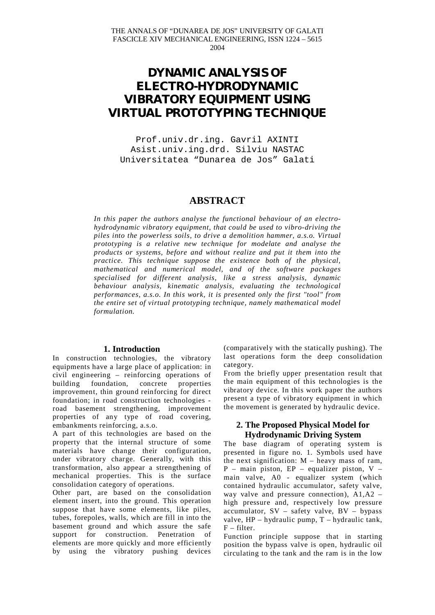# **DYNAMIC ANALYSIS OF ELECTRO-HYDRODYNAMIC VIBRATORY EQUIPMENT USING VIRTUAL PROTOTYPING TECHNIQUE**

Prof.univ.dr.ing. Gavril AXINTI Asist.univ.ing.drd. Silviu NASTAC Universitatea "Dunarea de Jos" Galati

# **ABSTRACT**

*In this paper the authors analyse the functional behaviour of an electrohydrodynamic vibratory equipment, that could be used to vibro-driving the piles into the powerless soils, to drive a demolition hammer, a.s.o. Virtual prototyping is a relative new technique for modelate and analyse the products or systems, before and without realize and put it them into the practice. This technique suppose the existence both of the physical, mathematical and numerical model, and of the software packages specialised for different analysis, like a stress analysis, dynamic behaviour analysis, kinematic analysis, evaluating the technological performances, a.s.o. In this work, it is presented only the first "tool" from the entire set of virtual prototyping technique, namely mathematical model formulation.*

# **1. Introduction**

In construction technologies, the vibratory equipments have a large place of application: in civil engineering – reinforcing operations of building foundation, concrete properties improvement, thin ground reinforcing for direct foundation; in road construction technologies road basement strengthening, improvement properties of any type of road covering, embankments reinforcing, a.s.o.

A part of this technologies are based on the property that the internal structure of some materials have change their configuration, under vibratory charge. Generally, with this transformation, also appear a strengthening of mechanical properties. This is the surface consolidation category of operations.

Other part, are based on the consolidation element insert, into the ground. This operation suppose that have some elements, like piles, tubes, forepoles, walls, which are fill in into the basement ground and which assure the safe support for construction. Penetration of elements are more quickly and more efficiently by using the vibratory pushing devices (comparatively with the statically pushing). The last operations form the deep consolidation category.

From the briefly upper presentation result that the main equipment of this technologies is the vibratory device. In this work paper the authors present a type of vibratory equipment in which the movement is generated by hydraulic device.

# **2. The Proposed Physical Model for Hydrodynamic Driving System**

The base diagram of operating system is presented in figure no. 1. Symbols used have the next signification:  $M$  – heavy mass of ram,  $P$  – main piston,  $EP$  – equalizer piston, V – main valve, A0 - equalizer system (which contained hydraulic accumulator, safety valve, way valve and pressure connection), A1,A2 – high pressure and, respectively low pressure accumulator, SV – safety valve, BV – bypass valve, HP – hydraulic pump, T – hydraulic tank,  $F - filter.$ 

Function principle suppose that in starting position the bypass valve is open, hydraulic oil circulating to the tank and the ram is in the low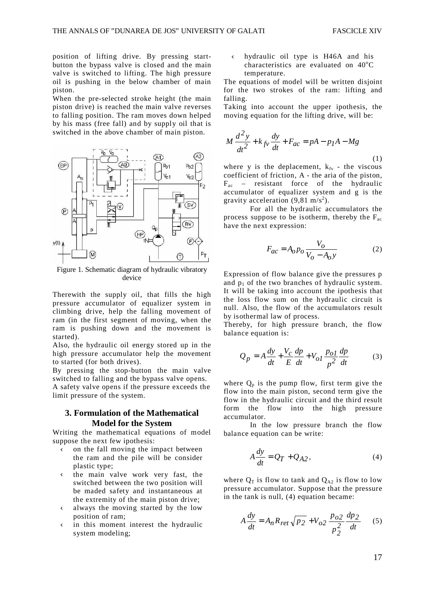position of lifting drive. By pressing startbutton the bypass valve is closed and the main valve is switched to lifting. The high pressure oil is pushing in the below chamber of main piston.

When the pre-selected stroke height (the main piston drive) is reached the main valve reverses to falling position. The ram moves down helped by his mass (free fall) and by supply oil that is switched in the above chamber of main piston.



Figure 1. Schematic diagram of hydraulic vibratory device

Therewith the supply oil, that fills the high pressure accumulator of equalizer system in climbing drive, help the falling movement of ram (in the first segment of moving, when the ram is pushing down and the movement is started).

Also, the hydraulic oil energy stored up in the high pressure accumulator help the movement to started (for both drives).

By pressing the stop-button the main valve switched to falling and the bypass valve opens.

A safety valve opens if the pressure exceeds the limit pressure of the system.

# **3. Formulation of the Mathematical Model for the System**

Writing the mathematical equations of model suppose the next few ipothesis:

- Ü on the fall moving the impact between the ram and the pile will be consider plastic type;
- Ü the main valve work very fast, the switched between the two position will be maded safety and instantaneous at the extremity of the main piston drive;
- Ü always the moving started by the low position of ram;
- Ü in this moment interest the hydraulic system modeling;

Ü hydraulic oil type is H46A and his characteristics are evaluated on  $40^{\circ}$ C temperature.

The equations of model will be written disjoint for the two strokes of the ram: lifting and falling.

Taking into account the upper ipothesis, the moving equation for the lifting drive, will be:

$$
M\frac{d^2y}{dt^2} + k_{fv}\frac{dy}{dt} + F_{ac} = pA - p_I A - Mg
$$
\n(1)

where y is the deplacement,  $k_{fv}$  - the viscous coefficient of friction, A - the aria of the piston,  $F_{ac}$  – resistant force of the hydraulic accumulator of equalizer system and g is the gravity acceleration  $(9, 81 \text{ m/s}^2)$ .

For all the hydraulic accumulators the process suppose to be isotherm, thereby the  $F_{ac}$ have the next expression:

$$
F_{ac} = A_o p_o \frac{V_o}{V_o - A_o y}
$$
 (2)

Expression of flow balance give the pressures p and  $p_1$  of the two branches of hydraulic system. It will be taking into account the ipothesis that the loss flow sum on the hydraulic circuit is null. Also, the flow of the accumulators result by isothermal law of process.

Thereby, for high pressure branch, the flow balance equation is:

$$
Q_p = A\frac{dy}{dt} + \frac{V_c}{E}\frac{dp}{dt} + V_{oI}\frac{p_{oI}}{p^2}\frac{dp}{dt}
$$
 (3)

where  $Q_p$  is the pump flow, first term give the flow into the main piston, second term give the flow in the hydraulic circuit and the third result form the flow into the high pressure accumulator.

In the low pressure branch the flow balance equation can be write:

$$
A\frac{dy}{dt} = Q_T + Q_{A2},\tag{4}
$$

where  $Q_T$  is flow to tank and  $Q_{A2}$  is flow to low pressure accumulator. Suppose that the pressure in the tank is null, (4) equation became:

$$
A\frac{dy}{dt} = A_n R_{ret} \sqrt{p_2} + V_{o2} \frac{p_{o2}}{p_2^2} \frac{dp_2}{dt}
$$
 (5)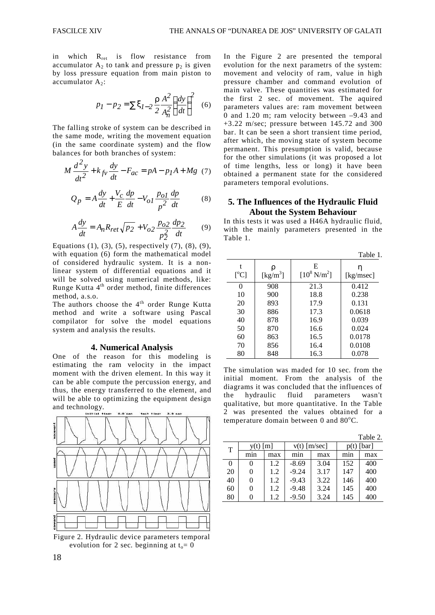in which  $R_{\text{ret}}$  is flow resistance from accumulator  $A_2$  to tank and pressure  $p_2$  is given by loss pressure equation from main piston to accumulator  $A_2$ :

$$
p_1 - p_2 = \sum \xi_{I-2} \frac{\rho}{2} \frac{A^2}{A_n^2} \left(\frac{dy}{dt}\right)^2 \quad (6)
$$

The falling stroke of system can be described in the same mode, writing the movement equation (in the same coordinate system) and the flow balances for both branches of system:

$$
M\frac{d^{2}y}{dt^{2}} + k_{fv}\frac{dy}{dt} - F_{ac} = pA - p_{I}A + Mg \quad (7)
$$

$$
Q_p = A\frac{dy}{dt} + \frac{V_c}{E}\frac{dp}{dt} - V_{oI}\frac{p_{oI}}{p^2}\frac{dp}{dt}
$$
 (8)

$$
A\frac{dy}{dt} = A_n R_{ret} \sqrt{p_2} + V_{o2} \frac{p_{o2}}{p_2^2} \frac{dp_2}{dt}
$$
 (9)

Equations (1), (3), (5), respectively (7), (8), (9), with equation (6) form the mathematical model of considered hydraulic system. It is a nonlinear system of differential equations and it will be solved using numerical methods, like: Runge Kutta 4<sup>th</sup> order method, finite differences method, a.s.o.

The authors choose the  $4<sup>th</sup>$  order Runge Kutta method and write a software using Pascal compilator for solve the model equations system and analysis the results.

#### **4. Numerical Analysis**

One of the reason for this modeling is estimating the ram velocity in the impact moment with the driven element. In this way it can be able compute the percussion energy, and thus, the energy transferred to the element, and will be able to optimizing the equipment design and technology.



Figure 2. Hydraulic device parameters temporal evolution for 2 sec. beginning at  $t_0 = 0$ 

In the Figure 2 are presented the temporal evolution for the next parametrs of the system: movement and velocity of ram, value in high pressure chamber and command evolution of main valve. These quantities was estimated for the first 2 sec. of movement. The aquired parameters values are: ram movement between 0 and 1.20 m; ram velocity between –9.43 and +3.22 m/sec; pressure between 145.72 and 300 bar. It can be seen a short transient time period, after which, the moving state of system become permanent. This presumption is valid, because for the other simulations (it was proposed a lot of time lengths, less or long) it have been obtained a permanent state for the considered parameters temporal evolutions.

# **5. The Influences of the Hydraulic Fluid About the System Behaviour**

In this tests it was used a H46A hydraulic fluid, with the mainly parameters presented in the Table 1.

|           | Table 1.                  |                             |                |  |  |  |  |
|-----------|---------------------------|-----------------------------|----------------|--|--|--|--|
| t<br>[°C] | ρ<br>[kg/m <sup>3</sup> ] | E<br>$[10^8 \text{ N/m}^2]$ | η<br>[kg/msec] |  |  |  |  |
| 0         | 908                       | 21.3                        | 0.412          |  |  |  |  |
| 10        | 900                       | 18.8                        | 0.238          |  |  |  |  |
| 20        | 893                       | 17.9                        | 0.131          |  |  |  |  |
| 30        | 886                       | 17.3                        | 0.0618         |  |  |  |  |
| 40        | 878                       | 16.9                        | 0.039          |  |  |  |  |
| 50        | 870                       | 16.6                        | 0.024          |  |  |  |  |
| 60        | 863                       | 16.5                        | 0.0178         |  |  |  |  |
| 70        | 856                       | 16.4                        | 0.0108         |  |  |  |  |
| 80        | 848                       | 16.3                        | 0.078          |  |  |  |  |

The simulation was maded for 10 sec. from the initial moment. From the analysis of the diagrams it was concluded that the influences of the hydraulic fluid parameters wasn't qualitative, but more quantitative. In the Table 2 was presented the values obtained for a temperature domain between  $0$  and  $80^{\circ}$ C.

| $v(t)$ [m/sec]<br>[bar]<br>[m]<br>y(t)<br>T<br>mın<br>max<br>mın<br>mın<br>max<br>max<br>152<br>3.04<br>400<br>1.2<br>$-8.69$<br>0<br>0 |  |  |  |  |  | Table 2. |
|-----------------------------------------------------------------------------------------------------------------------------------------|--|--|--|--|--|----------|
|                                                                                                                                         |  |  |  |  |  |          |
|                                                                                                                                         |  |  |  |  |  |          |
|                                                                                                                                         |  |  |  |  |  |          |
| $-9.24$<br>3.17<br>400<br>20<br>147<br>1.2<br>0                                                                                         |  |  |  |  |  |          |
| 3.22<br>40<br>$-9.43$<br>400<br>1.2<br>146<br>0                                                                                         |  |  |  |  |  |          |
| 3.24<br>60<br>400<br>$-9.48$<br>145<br>1.2                                                                                              |  |  |  |  |  |          |
| 3.24<br>80<br>145<br>400<br>1.2<br>$-9.50$                                                                                              |  |  |  |  |  |          |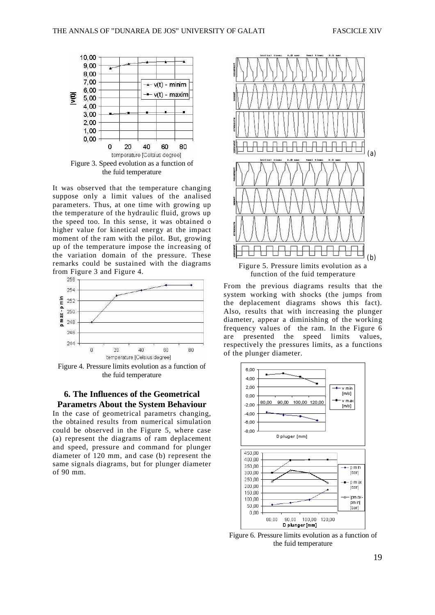

It was observed that the temperature changing suppose only a limit values of the analised parameters. Thus, at one time with growing up the temperature of the hydraulic fluid, grows up the speed too. In this sense, it was obtained o higher value for kinetical energy at the impact moment of the ram with the pilot. But, growing up of the temperature impose the increasing of the variation domain of the pressure. These remarks could be sustained with the diagrams from Figure 3 and Figure 4.



Figure 4. Pressure limits evolution as a function of the fuid temperature

# **6. The Influences of the Geometrical Parametrs About the System Behaviour**

In the case of geometrical parametrs changing, the obtained results from numerical simulation could be observed in the Figure 5, where case (a) represent the diagrams of ram deplacement and speed, pressure and command for plunger diameter of 120 mm, and case (b) represent the same signals diagrams, but for plunger diameter of 90 mm.



From the previous diagrams results that the system working with shocks (the jumps from the deplacement diagrams shows this fact). Also, results that with increasing the plunger diameter, appear a diminishing of the working frequency values of the ram. In the Figure 6 are presented the speed limits values, respectively the pressures limits, as a functions of the plunger diameter.



Figure 6. Pressure limits evolution as a function of the fuid temperature